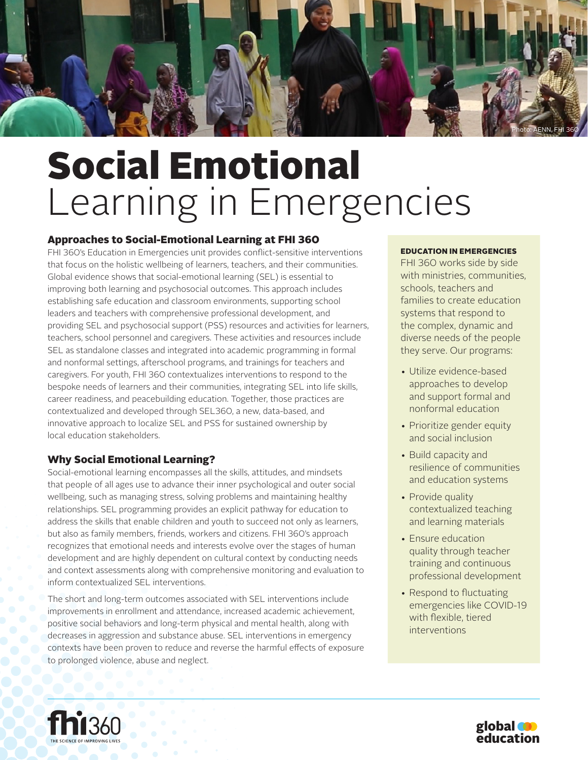

# Social Emotional Learning in Emergencies

# Approaches to Social-Emotional Learning at FHI 360

FHI 360's Education in Emergencies unit provides conflict-sensitive interventions that focus on the holistic wellbeing of learners, teachers, and their communities. Global evidence shows that social-emotional learning (SEL) is essential to improving both learning and psychosocial outcomes. This approach includes establishing safe education and classroom environments, supporting school leaders and teachers with comprehensive professional development, and providing SEL and psychosocial support (PSS) resources and activities for learners, teachers, school personnel and caregivers. These activities and resources include SEL as standalone classes and integrated into academic programming in formal and nonformal settings, afterschool programs, and trainings for teachers and caregivers. For youth, FHI 360 contextualizes interventions to respond to the bespoke needs of learners and their communities, integrating SEL into life skills, career readiness, and peacebuilding education. Together, those practices are contextualized and developed through SEL360, a new, data-based, and innovative approach to localize SEL and PSS for sustained ownership by local education stakeholders.

# Why Social Emotional Learning?

Social-emotional learning encompasses all the skills, attitudes, and mindsets that people of all ages use to advance their inner psychological and outer social wellbeing, such as managing stress, solving problems and maintaining healthy relationships. SEL programming provides an explicit pathway for education to address the skills that enable children and youth to succeed not only as learners, but also as family members, friends, workers and citizens. FHI 360's approach recognizes that emotional needs and interests evolve over the stages of human development and are highly dependent on cultural context by conducting needs and context assessments along with comprehensive monitoring and evaluation to inform contextualized SEL interventions.

The short and long-term outcomes associated with SEL interventions include improvements in enrollment and attendance, increased academic achievement, positive social behaviors and long-term physical and mental health, along with decreases in aggression and substance abuse. SEL interventions in emergency contexts have been proven to reduce and reverse the harmful effects of exposure to prolonged violence, abuse and neglect.

## EDUCATION IN EMERGENCIES

FHI 360 works side by side with ministries, communities, schools, teachers and families to create education systems that respond to the complex, dynamic and diverse needs of the people they serve. Our programs:

- Utilize evidence-based approaches to develop and support formal and nonformal education
- Prioritize gender equity and social inclusion
- Build capacity and resilience of communities and education systems
- Provide quality contextualized teaching and learning materials
- Ensure education quality through teacher training and continuous professional development
- Respond to fluctuating emergencies like COVID-19 with flexible, tiered interventions